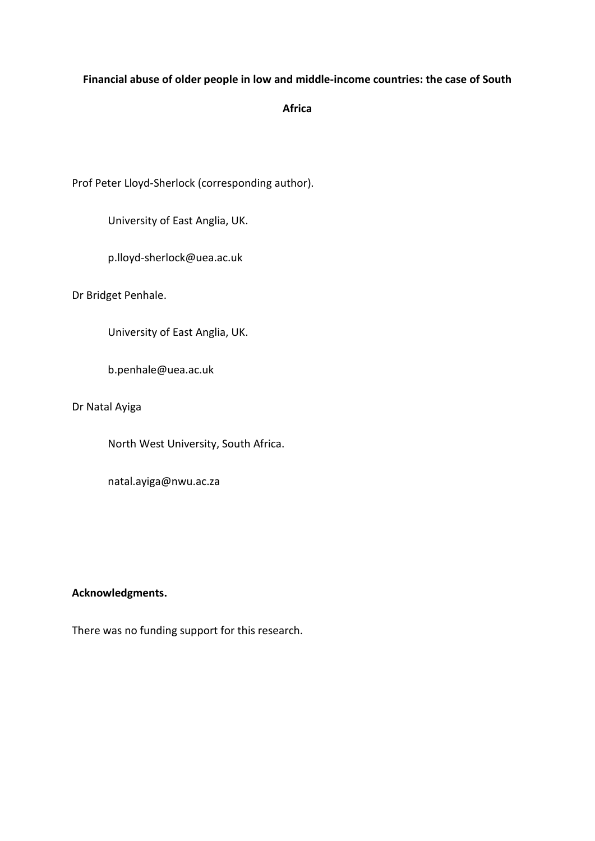## **Financial abuse of older people in low and middle-income countries: the case of South**

# **Africa**

Prof Peter Lloyd-Sherlock (corresponding author).

University of East Anglia, UK.

p.lloyd-sherlock@uea.ac.uk

Dr Bridget Penhale.

University of East Anglia, UK.

b.penhale@uea.ac.uk

Dr Natal Ayiga

North West University, South Africa.

natal.ayiga@nwu.ac.za

## **Acknowledgments.**

There was no funding support for this research.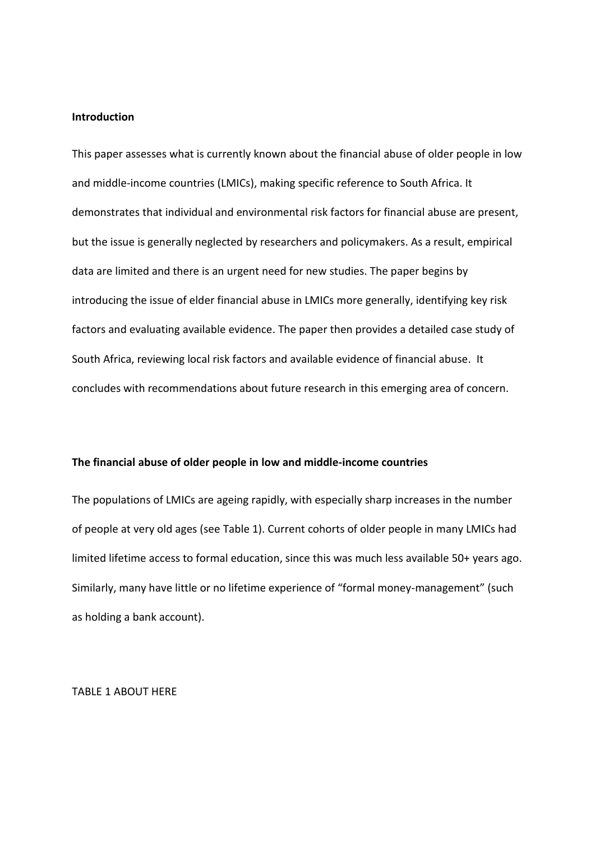### **Introduction**

This paper assesses what is currently known about the financial abuse of older people in low and middle-income countries (LMICs), making specific reference to South Africa. It demonstrates that individual and environmental risk factors for financial abuse are present, but the issue is generally neglected by researchers and policymakers. As a result, empirical data are limited and there is an urgent need for new studies. The paper begins by introducing the issue of elder financial abuse in LMICs more generally, identifying key risk factors and evaluating available evidence. The paper then provides a detailed case study of South Africa, reviewing local risk factors and available evidence of financial abuse. It concludes with recommendations about future research in this emerging area of concern.

#### **The financial abuse of older people in low and middle-income countries**

The populations of LMICs are ageing rapidly, with especially sharp increases in the number of people at very old ages (see Table 1). Current cohorts of older people in many LMICs had limited lifetime access to formal education, since this was much less available 50+ years ago. Similarly, many have little or no lifetime experience of "formal money-management" (such as holding a bank account).

TABLE 1 ABOUT HERE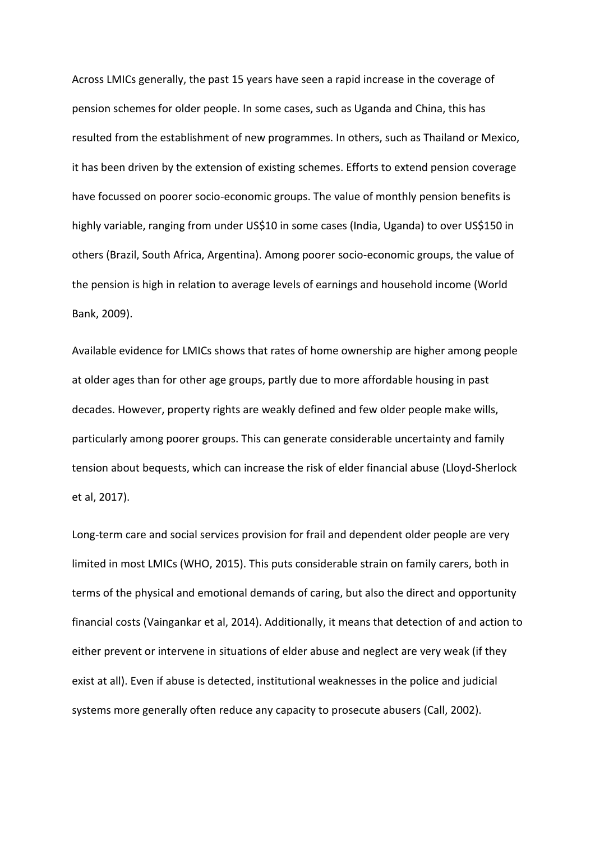Across LMICs generally, the past 15 years have seen a rapid increase in the coverage of pension schemes for older people. In some cases, such as Uganda and China, this has resulted from the establishment of new programmes. In others, such as Thailand or Mexico, it has been driven by the extension of existing schemes. Efforts to extend pension coverage have focussed on poorer socio-economic groups. The value of monthly pension benefits is highly variable, ranging from under US\$10 in some cases (India, Uganda) to over US\$150 in others (Brazil, South Africa, Argentina). Among poorer socio-economic groups, the value of the pension is high in relation to average levels of earnings and household income (World Bank, 2009).

Available evidence for LMICs shows that rates of home ownership are higher among people at older ages than for other age groups, partly due to more affordable housing in past decades. However, property rights are weakly defined and few older people make wills, particularly among poorer groups. This can generate considerable uncertainty and family tension about bequests, which can increase the risk of elder financial abuse (Lloyd-Sherlock et al, 2017).

Long-term care and social services provision for frail and dependent older people are very limited in most LMICs (WHO, 2015). This puts considerable strain on family carers, both in terms of the physical and emotional demands of caring, but also the direct and opportunity financial costs (Vaingankar et al, 2014). Additionally, it means that detection of and action to either prevent or intervene in situations of elder abuse and neglect are very weak (if they exist at all). Even if abuse is detected, institutional weaknesses in the police and judicial systems more generally often reduce any capacity to prosecute abusers (Call, 2002).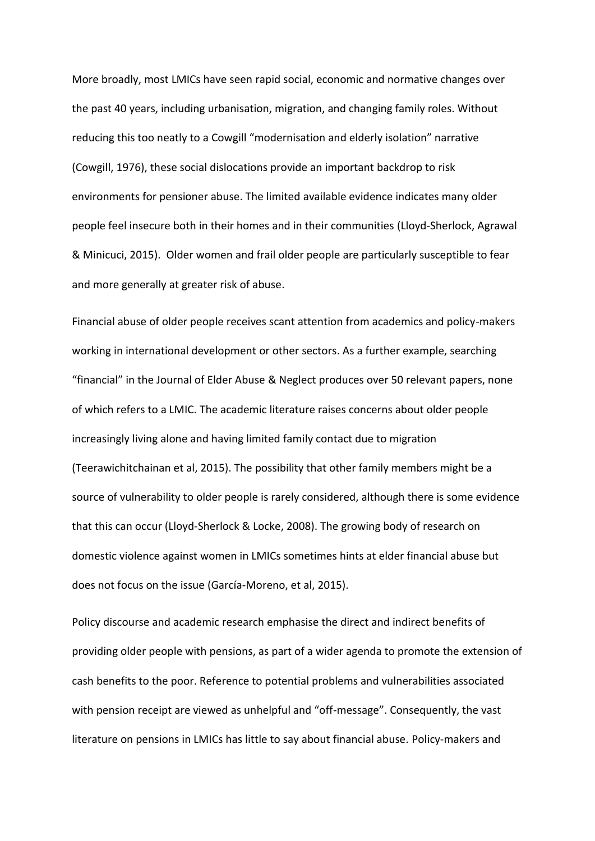More broadly, most LMICs have seen rapid social, economic and normative changes over the past 40 years, including urbanisation, migration, and changing family roles. Without reducing this too neatly to a Cowgill "modernisation and elderly isolation" narrative (Cowgill, 1976), these social dislocations provide an important backdrop to risk environments for pensioner abuse. The limited available evidence indicates many older people feel insecure both in their homes and in their communities (Lloyd-Sherlock, Agrawal & Minicuci, 2015). Older women and frail older people are particularly susceptible to fear and more generally at greater risk of abuse.

Financial abuse of older people receives scant attention from academics and policy-makers working in international development or other sectors. As a further example, searching "financial" in the Journal of Elder Abuse & Neglect produces over 50 relevant papers, none of which refers to a LMIC. The academic literature raises concerns about older people increasingly living alone and having limited family contact due to migration (Teerawichitchainan et al, 2015). The possibility that other family members might be a source of vulnerability to older people is rarely considered, although there is some evidence that this can occur (Lloyd-Sherlock & Locke, 2008). The growing body of research on domestic violence against women in LMICs sometimes hints at elder financial abuse but does not focus on the issue (García-Moreno, et al, 2015).

Policy discourse and academic research emphasise the direct and indirect benefits of providing older people with pensions, as part of a wider agenda to promote the extension of cash benefits to the poor. Reference to potential problems and vulnerabilities associated with pension receipt are viewed as unhelpful and "off-message". Consequently, the vast literature on pensions in LMICs has little to say about financial abuse. Policy-makers and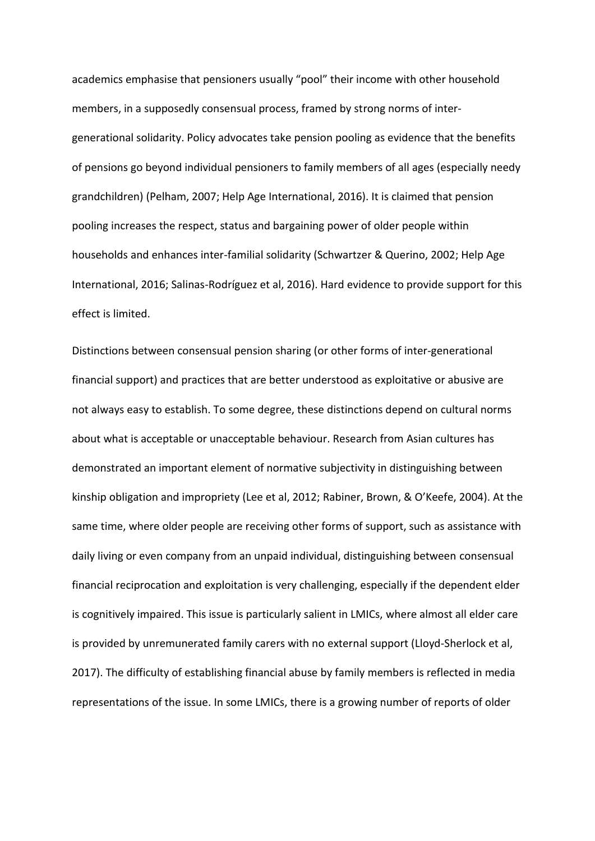academics emphasise that pensioners usually "pool" their income with other household members, in a supposedly consensual process, framed by strong norms of intergenerational solidarity. Policy advocates take pension pooling as evidence that the benefits of pensions go beyond individual pensioners to family members of all ages (especially needy grandchildren) (Pelham, 2007; Help Age International, 2016). It is claimed that pension pooling increases the respect, status and bargaining power of older people within households and enhances inter-familial solidarity (Schwartzer & Querino, 2002; Help Age International, 2016; Salinas-Rodríguez et al, 2016). Hard evidence to provide support for this effect is limited.

Distinctions between consensual pension sharing (or other forms of inter-generational financial support) and practices that are better understood as exploitative or abusive are not always easy to establish. To some degree, these distinctions depend on cultural norms about what is acceptable or unacceptable behaviour. Research from Asian cultures has demonstrated an important element of normative subjectivity in distinguishing between kinship obligation and impropriety (Lee et al, 2012; Rabiner, Brown, & O'Keefe, 2004). At the same time, where older people are receiving other forms of support, such as assistance with daily living or even company from an unpaid individual, distinguishing between consensual financial reciprocation and exploitation is very challenging, especially if the dependent elder is cognitively impaired. This issue is particularly salient in LMICs, where almost all elder care is provided by unremunerated family carers with no external support (Lloyd-Sherlock et al, 2017). The difficulty of establishing financial abuse by family members is reflected in media representations of the issue. In some LMICs, there is a growing number of reports of older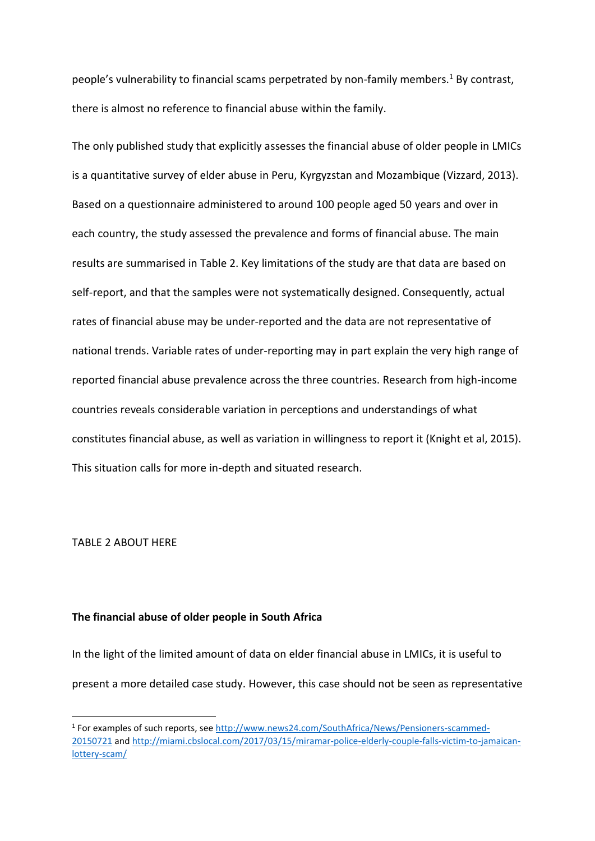people's vulnerability to financial scams perpetrated by non-family members.<sup>1</sup> By contrast, there is almost no reference to financial abuse within the family.

The only published study that explicitly assesses the financial abuse of older people in LMICs is a quantitative survey of elder abuse in Peru, Kyrgyzstan and Mozambique (Vizzard, 2013). Based on a questionnaire administered to around 100 people aged 50 years and over in each country, the study assessed the prevalence and forms of financial abuse. The main results are summarised in Table 2. Key limitations of the study are that data are based on self-report, and that the samples were not systematically designed. Consequently, actual rates of financial abuse may be under-reported and the data are not representative of national trends. Variable rates of under-reporting may in part explain the very high range of reported financial abuse prevalence across the three countries. Research from high-income countries reveals considerable variation in perceptions and understandings of what constitutes financial abuse, as well as variation in willingness to report it (Knight et al, 2015). This situation calls for more in-depth and situated research.

TABLE 2 ABOUT HERE

**.** 

## **The financial abuse of older people in South Africa**

In the light of the limited amount of data on elder financial abuse in LMICs, it is useful to present a more detailed case study. However, this case should not be seen as representative

<sup>&</sup>lt;sup>1</sup> For examples of such reports, see [http://www.news24.com/SouthAfrica/News/Pensioners-scammed-](http://www.news24.com/SouthAfrica/News/Pensioners-scammed-20150721)[20150721](http://www.news24.com/SouthAfrica/News/Pensioners-scammed-20150721) an[d http://miami.cbslocal.com/2017/03/15/miramar-police-elderly-couple-falls-victim-to-jamaican](http://miami.cbslocal.com/2017/03/15/miramar-police-elderly-couple-falls-victim-to-jamaican-lottery-scam/)[lottery-scam/](http://miami.cbslocal.com/2017/03/15/miramar-police-elderly-couple-falls-victim-to-jamaican-lottery-scam/)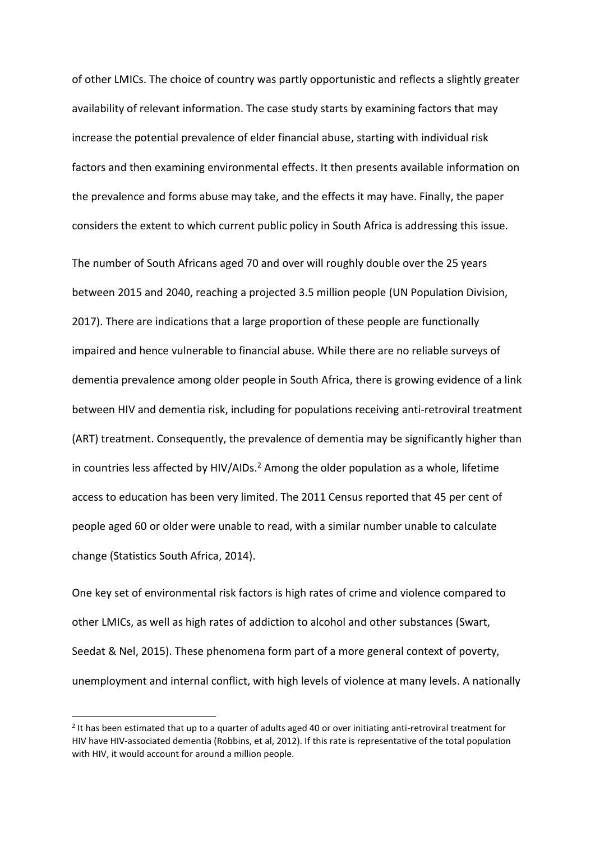of other LMICs. The choice of country was partly opportunistic and reflects a slightly greater availability of relevant information. The case study starts by examining factors that may increase the potential prevalence of elder financial abuse, starting with individual risk factors and then examining environmental effects. It then presents available information on the prevalence and forms abuse may take, and the effects it may have. Finally, the paper considers the extent to which current public policy in South Africa is addressing this issue.

The number of South Africans aged 70 and over will roughly double over the 25 years between 2015 and 2040, reaching a projected 3.5 million people (UN Population Division, 2017). There are indications that a large proportion of these people are functionally impaired and hence vulnerable to financial abuse. While there are no reliable surveys of dementia prevalence among older people in South Africa, there is growing evidence of a link between HIV and dementia risk, including for populations receiving anti-retroviral treatment (ART) treatment. Consequently, the prevalence of dementia may be significantly higher than in countries less affected by HIV/AIDs.<sup>2</sup> Among the older population as a whole, lifetime access to education has been very limited. The 2011 Census reported that 45 per cent of people aged 60 or older were unable to read, with a similar number unable to calculate change (Statistics South Africa, 2014).

One key set of environmental risk factors is high rates of crime and violence compared to other LMICs, as well as high rates of addiction to alcohol and other substances (Swart, Seedat & Nel, 2015). These phenomena form part of a more general context of poverty, unemployment and internal conflict, with high levels of violence at many levels. A nationally

**.** 

<sup>&</sup>lt;sup>2</sup> It has been estimated that up to a quarter of adults aged 40 or over initiating anti-retroviral treatment for HIV have HIV-associated dementia (Robbins, et al, 2012). If this rate is representative of the total population with HIV, it would account for around a million people.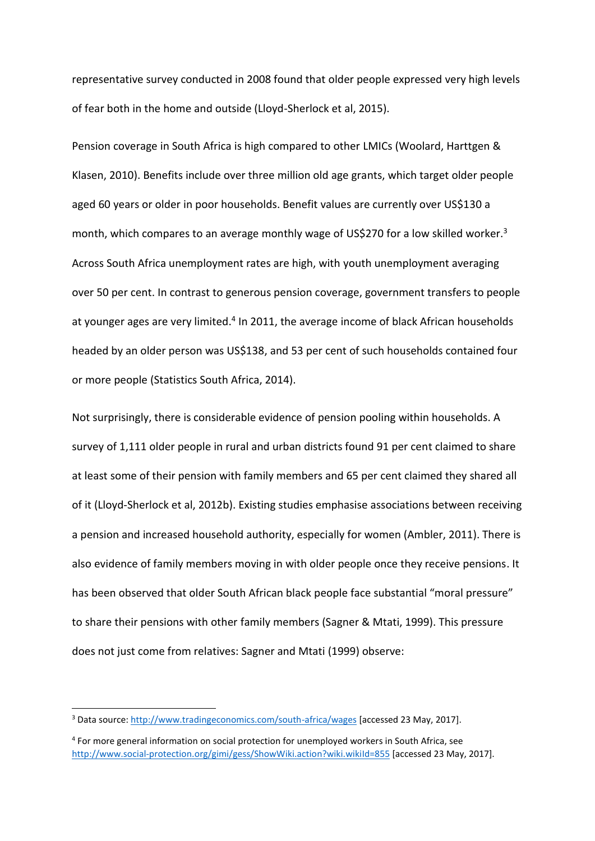representative survey conducted in 2008 found that older people expressed very high levels of fear both in the home and outside (Lloyd-Sherlock et al, 2015).

Pension coverage in South Africa is high compared to other LMICs (Woolard, Harttgen & Klasen, 2010). Benefits include over three million old age grants, which target older people aged 60 years or older in poor households. Benefit values are currently over US\$130 a month, which compares to an average monthly wage of US\$270 for a low skilled worker.<sup>3</sup> Across South Africa unemployment rates are high, with youth unemployment averaging over 50 per cent. In contrast to generous pension coverage, government transfers to people at younger ages are very limited.<sup>4</sup> In 2011, the average income of black African households headed by an older person was US\$138, and 53 per cent of such households contained four or more people (Statistics South Africa, 2014).

Not surprisingly, there is considerable evidence of pension pooling within households. A survey of 1,111 older people in rural and urban districts found 91 per cent claimed to share at least some of their pension with family members and 65 per cent claimed they shared all of it (Lloyd-Sherlock et al, 2012b). Existing studies emphasise associations between receiving a pension and increased household authority, especially for women (Ambler, 2011). There is also evidence of family members moving in with older people once they receive pensions. It has been observed that older South African black people face substantial "moral pressure" to share their pensions with other family members (Sagner & Mtati, 1999). This pressure does not just come from relatives: Sagner and Mtati (1999) observe:

 $\overline{a}$ 

<sup>3</sup> Data source:<http://www.tradingeconomics.com/south-africa/wages> [accessed 23 May, 2017].

<sup>4</sup> For more general information on social protection for unemployed workers in South Africa, see <http://www.social-protection.org/gimi/gess/ShowWiki.action?wiki.wikiId=855> [accessed 23 May, 2017].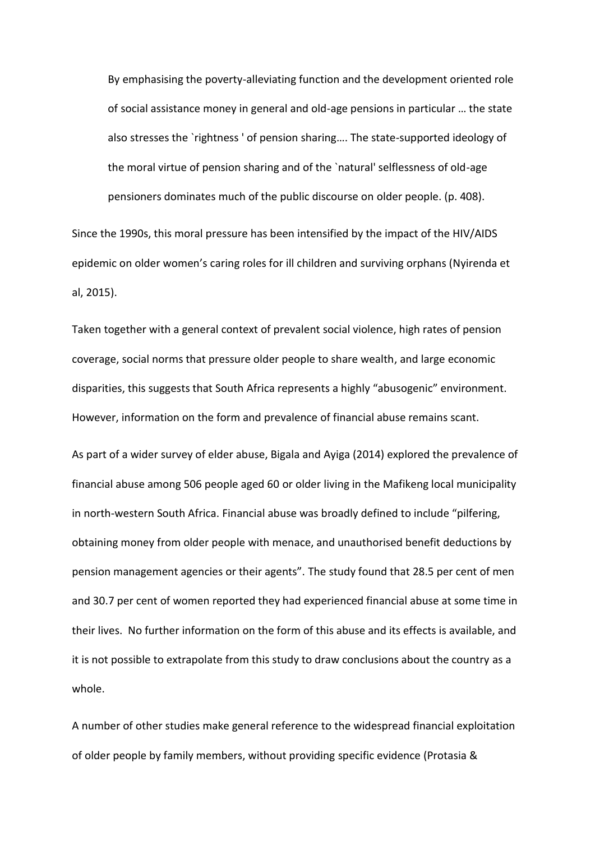By emphasising the poverty-alleviating function and the development oriented role of social assistance money in general and old-age pensions in particular … the state also stresses the `rightness ' of pension sharing…. The state-supported ideology of the moral virtue of pension sharing and of the `natural' selflessness of old-age pensioners dominates much of the public discourse on older people. (p. 408).

Since the 1990s, this moral pressure has been intensified by the impact of the HIV/AIDS epidemic on older women's caring roles for ill children and surviving orphans (Nyirenda et al, 2015).

Taken together with a general context of prevalent social violence, high rates of pension coverage, social norms that pressure older people to share wealth, and large economic disparities, this suggests that South Africa represents a highly "abusogenic" environment. However, information on the form and prevalence of financial abuse remains scant.

As part of a wider survey of elder abuse, Bigala and Ayiga (2014) explored the prevalence of financial abuse among 506 people aged 60 or older living in the Mafikeng local municipality in north-western South Africa. Financial abuse was broadly defined to include "pilfering, obtaining money from older people with menace, and unauthorised benefit deductions by pension management agencies or their agents". The study found that 28.5 per cent of men and 30.7 per cent of women reported they had experienced financial abuse at some time in their lives. No further information on the form of this abuse and its effects is available, and it is not possible to extrapolate from this study to draw conclusions about the country as a whole.

A number of other studies make general reference to the widespread financial exploitation of older people by family members, without providing specific evidence (Protasia &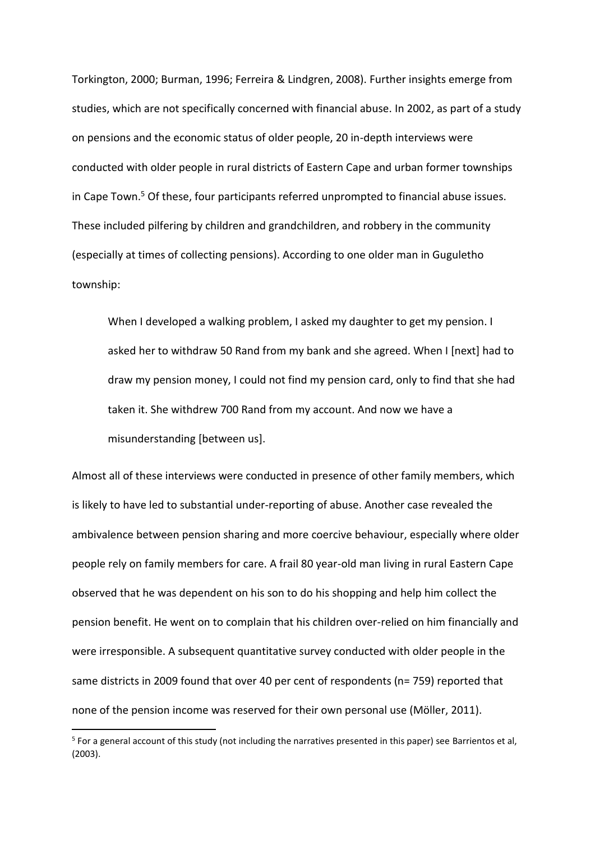Torkington, 2000; Burman, 1996; Ferreira & Lindgren, 2008). Further insights emerge from studies, which are not specifically concerned with financial abuse. In 2002, as part of a study on pensions and the economic status of older people, 20 in-depth interviews were conducted with older people in rural districts of Eastern Cape and urban former townships in Cape Town.<sup>5</sup> Of these, four participants referred unprompted to financial abuse issues. These included pilfering by children and grandchildren, and robbery in the community (especially at times of collecting pensions). According to one older man in Guguletho township:

When I developed a walking problem, I asked my daughter to get my pension. I asked her to withdraw 50 Rand from my bank and she agreed. When I [next] had to draw my pension money, I could not find my pension card, only to find that she had taken it. She withdrew 700 Rand from my account. And now we have a misunderstanding [between us].

Almost all of these interviews were conducted in presence of other family members, which is likely to have led to substantial under-reporting of abuse. Another case revealed the ambivalence between pension sharing and more coercive behaviour, especially where older people rely on family members for care. A frail 80 year-old man living in rural Eastern Cape observed that he was dependent on his son to do his shopping and help him collect the pension benefit. He went on to complain that his children over-relied on him financially and were irresponsible. A subsequent quantitative survey conducted with older people in the same districts in 2009 found that over 40 per cent of respondents (n= 759) reported that none of the pension income was reserved for their own personal use (Möller, 2011).

1

<sup>&</sup>lt;sup>5</sup> For a general account of this study (not including the narratives presented in this paper) see Barrientos et al, (2003).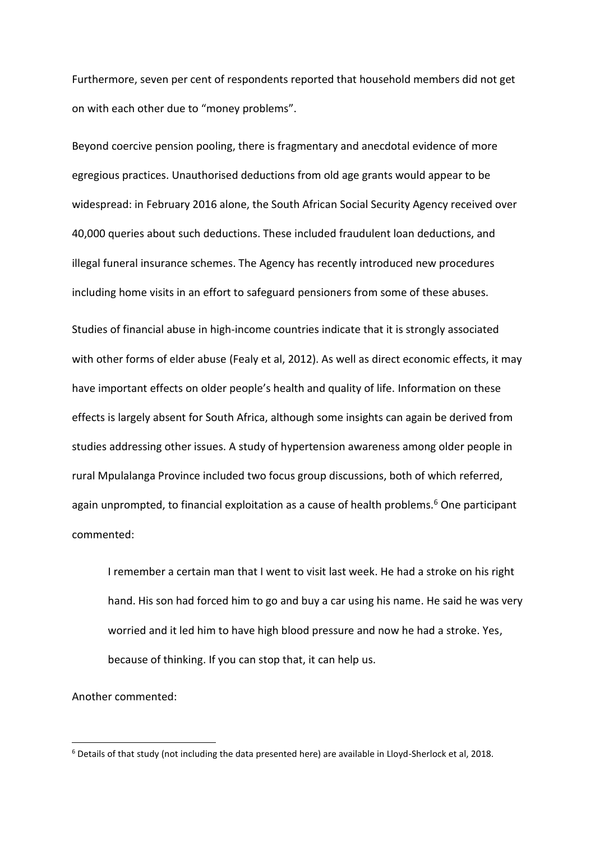Furthermore, seven per cent of respondents reported that household members did not get on with each other due to "money problems".

Beyond coercive pension pooling, there is fragmentary and anecdotal evidence of more egregious practices. Unauthorised deductions from old age grants would appear to be widespread: in February 2016 alone, the South African Social Security Agency received over 40,000 queries about such deductions. These included fraudulent loan deductions, and illegal funeral insurance schemes. The Agency has recently introduced new procedures including home visits in an effort to safeguard pensioners from some of these abuses. Studies of financial abuse in high-income countries indicate that it is strongly associated with other forms of elder abuse (Fealy et al, 2012). As well as direct economic effects, it may have important effects on older people's health and quality of life. Information on these effects is largely absent for South Africa, although some insights can again be derived from studies addressing other issues. A study of hypertension awareness among older people in rural Mpulalanga Province included two focus group discussions, both of which referred, again unprompted, to financial exploitation as a cause of health problems.<sup>6</sup> One participant commented:

I remember a certain man that I went to visit last week. He had a stroke on his right hand. His son had forced him to go and buy a car using his name. He said he was very worried and it led him to have high blood pressure and now he had a stroke. Yes, because of thinking. If you can stop that, it can help us.

Another commented:

**.** 

<sup>6</sup> Details of that study (not including the data presented here) are available in Lloyd-Sherlock et al, 2018.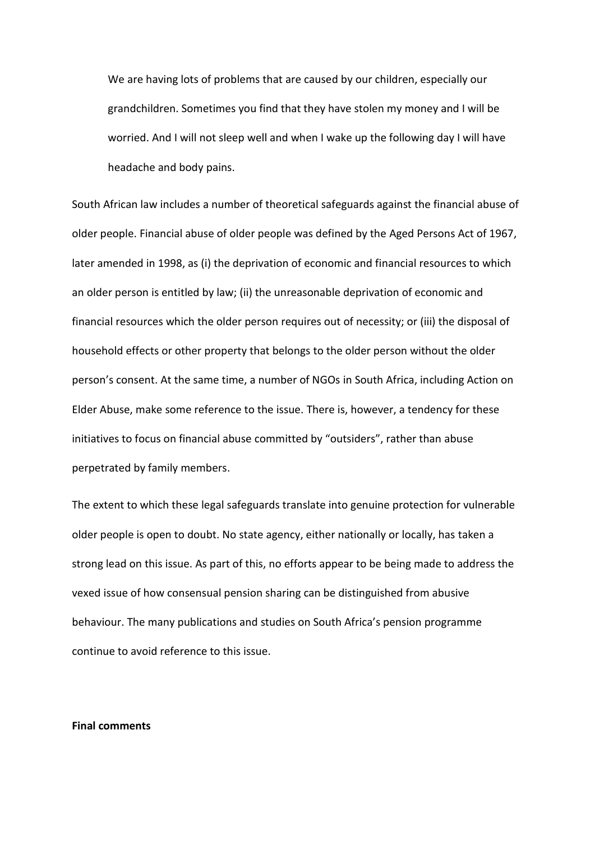We are having lots of problems that are caused by our children, especially our grandchildren. Sometimes you find that they have stolen my money and I will be worried. And I will not sleep well and when I wake up the following day I will have headache and body pains.

South African law includes a number of theoretical safeguards against the financial abuse of older people. Financial abuse of older people was defined by the Aged Persons Act of 1967, later amended in 1998, as (i) the deprivation of economic and financial resources to which an older person is entitled by law; (ii) the unreasonable deprivation of economic and financial resources which the older person requires out of necessity; or (iii) the disposal of household effects or other property that belongs to the older person without the older person's consent. At the same time, a number of NGOs in South Africa, including Action on Elder Abuse, make some reference to the issue. There is, however, a tendency for these initiatives to focus on financial abuse committed by "outsiders", rather than abuse perpetrated by family members.

The extent to which these legal safeguards translate into genuine protection for vulnerable older people is open to doubt. No state agency, either nationally or locally, has taken a strong lead on this issue. As part of this, no efforts appear to be being made to address the vexed issue of how consensual pension sharing can be distinguished from abusive behaviour. The many publications and studies on South Africa's pension programme continue to avoid reference to this issue.

## **Final comments**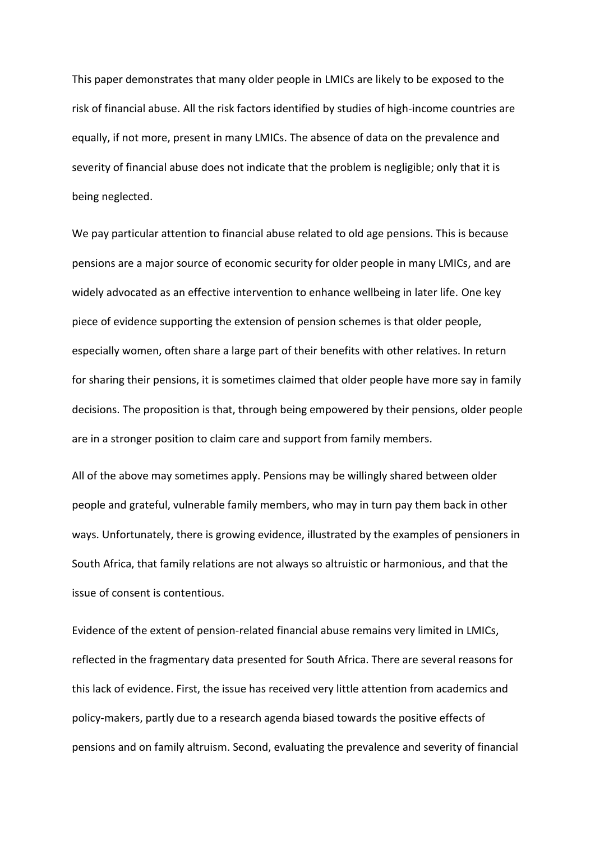This paper demonstrates that many older people in LMICs are likely to be exposed to the risk of financial abuse. All the risk factors identified by studies of high-income countries are equally, if not more, present in many LMICs. The absence of data on the prevalence and severity of financial abuse does not indicate that the problem is negligible; only that it is being neglected.

We pay particular attention to financial abuse related to old age pensions. This is because pensions are a major source of economic security for older people in many LMICs, and are widely advocated as an effective intervention to enhance wellbeing in later life. One key piece of evidence supporting the extension of pension schemes is that older people, especially women, often share a large part of their benefits with other relatives. In return for sharing their pensions, it is sometimes claimed that older people have more say in family decisions. The proposition is that, through being empowered by their pensions, older people are in a stronger position to claim care and support from family members.

All of the above may sometimes apply. Pensions may be willingly shared between older people and grateful, vulnerable family members, who may in turn pay them back in other ways. Unfortunately, there is growing evidence, illustrated by the examples of pensioners in South Africa, that family relations are not always so altruistic or harmonious, and that the issue of consent is contentious.

Evidence of the extent of pension-related financial abuse remains very limited in LMICs, reflected in the fragmentary data presented for South Africa. There are several reasons for this lack of evidence. First, the issue has received very little attention from academics and policy-makers, partly due to a research agenda biased towards the positive effects of pensions and on family altruism. Second, evaluating the prevalence and severity of financial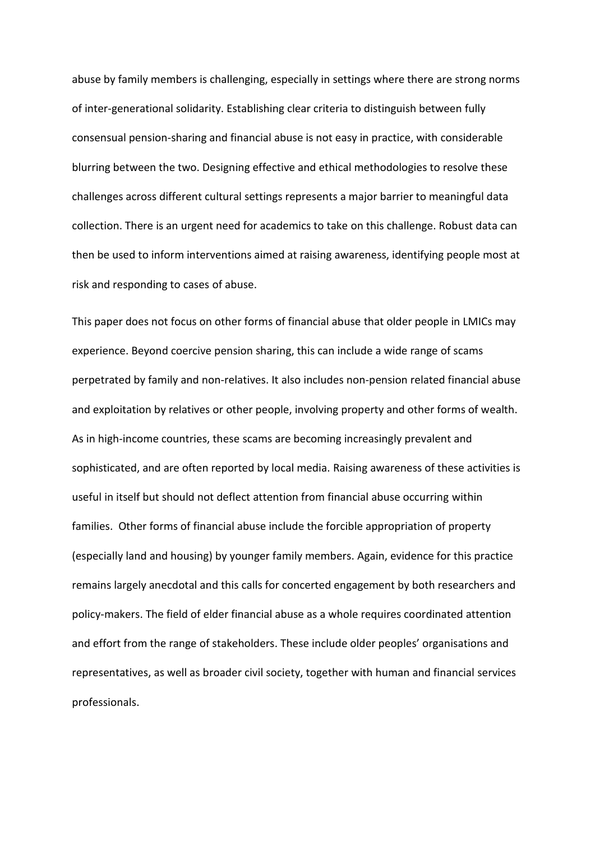abuse by family members is challenging, especially in settings where there are strong norms of inter-generational solidarity. Establishing clear criteria to distinguish between fully consensual pension-sharing and financial abuse is not easy in practice, with considerable blurring between the two. Designing effective and ethical methodologies to resolve these challenges across different cultural settings represents a major barrier to meaningful data collection. There is an urgent need for academics to take on this challenge. Robust data can then be used to inform interventions aimed at raising awareness, identifying people most at risk and responding to cases of abuse.

This paper does not focus on other forms of financial abuse that older people in LMICs may experience. Beyond coercive pension sharing, this can include a wide range of scams perpetrated by family and non-relatives. It also includes non-pension related financial abuse and exploitation by relatives or other people, involving property and other forms of wealth. As in high-income countries, these scams are becoming increasingly prevalent and sophisticated, and are often reported by local media. Raising awareness of these activities is useful in itself but should not deflect attention from financial abuse occurring within families. Other forms of financial abuse include the forcible appropriation of property (especially land and housing) by younger family members. Again, evidence for this practice remains largely anecdotal and this calls for concerted engagement by both researchers and policy-makers. The field of elder financial abuse as a whole requires coordinated attention and effort from the range of stakeholders. These include older peoples' organisations and representatives, as well as broader civil society, together with human and financial services professionals.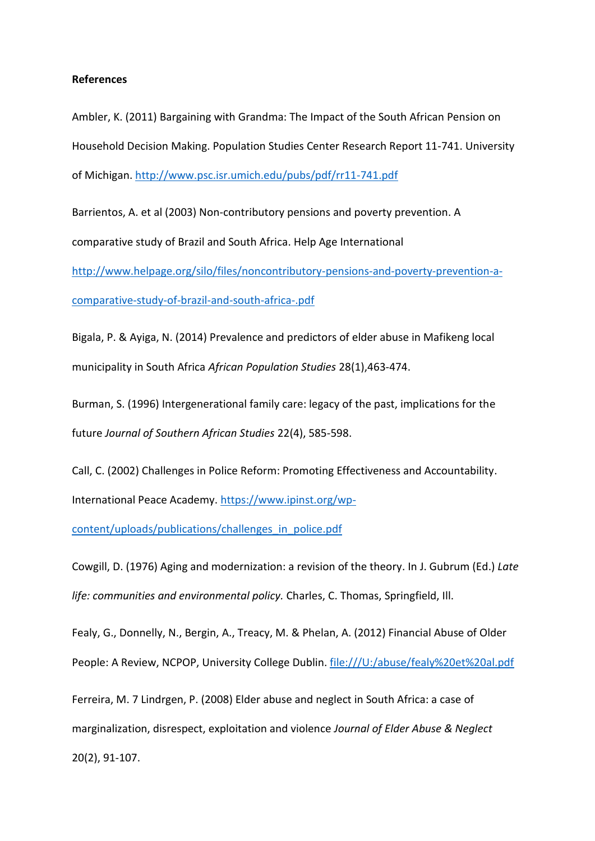### **References**

Ambler, K. (2011) Bargaining with Grandma: The Impact of the South African Pension on Household Decision Making. Population Studies Center Research Report 11-741. University of Michigan.<http://www.psc.isr.umich.edu/pubs/pdf/rr11-741.pdf>

Barrientos, A. et al (2003) Non-contributory pensions and poverty prevention. A comparative study of Brazil and South Africa. Help Age International [http://www.helpage.org/silo/files/noncontributory-pensions-and-poverty-prevention-a-](http://www.helpage.org/silo/files/noncontributory-pensions-and-poverty-prevention-a-comparative-study-of-brazil-and-south-africa-.pdf)

[comparative-study-of-brazil-and-south-africa-.pdf](http://www.helpage.org/silo/files/noncontributory-pensions-and-poverty-prevention-a-comparative-study-of-brazil-and-south-africa-.pdf)

Bigala, P. & Ayiga, N. (2014) Prevalence and predictors of elder abuse in Mafikeng local municipality in South Africa *African Population Studies* 28(1),463-474.

Burman, S. (1996) Intergenerational family care: legacy of the past, implications for the future *Journal of Southern African Studies* 22(4), 585-598.

Call, C. (2002) Challenges in Police Reform: Promoting Effectiveness and Accountability. International Peace Academy. [https://www.ipinst.org/wp-](https://www.ipinst.org/wp-content/uploads/publications/challenges_in_police.pdf)

[content/uploads/publications/challenges\\_in\\_police.pdf](https://www.ipinst.org/wp-content/uploads/publications/challenges_in_police.pdf)

Cowgill, D. (1976) Aging and modernization: a revision of the theory. In J. Gubrum (Ed.) *Late life: communities and environmental policy.* Charles, C. Thomas, Springfield, Ill.

Fealy, G., Donnelly, N., Bergin, A., Treacy, M. & Phelan, A. (2012) Financial Abuse of Older People: A Review, NCPOP, University College Dublin. [file:///U:/abuse/fealy%20et%20al.pdf](fealy%20et%20al.pdf)

Ferreira, M. 7 Lindrgen, P. (2008) Elder abuse and neglect in South Africa: a case of marginalization, disrespect, exploitation and violence *Journal of Elder Abuse & Neglect* 20(2), 91-107.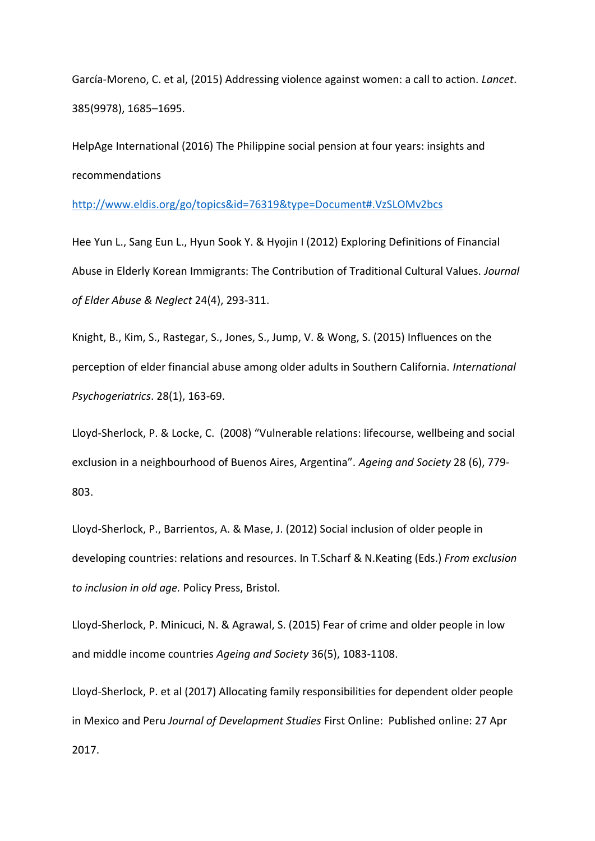García-Moreno, C. et al, (2015) Addressing violence against women: a call to action. *Lancet*. 385(9978), 1685–1695.

HelpAge International (2016) The Philippine social pension at four years: insights and recommendations

<http://www.eldis.org/go/topics&id=76319&type=Document#.VzSLOMv2bcs>

Hee Yun L., Sang Eun L., Hyun Sook Y. & Hyojin I (2012) Exploring Definitions of Financial Abuse in Elderly Korean Immigrants: The Contribution of Traditional Cultural Values. *Journal of Elder Abuse & Neglect* 24(4), 293-311.

Knight, B., Kim, S., Rastegar, S., Jones, S., Jump, V. & Wong, S. (2015) Influences on the perception of elder financial abuse among older adults in Southern California. *International Psychogeriatrics*. 28(1), 163-69.

Lloyd-Sherlock, P. & Locke, C. (2008) "Vulnerable relations: lifecourse, wellbeing and social exclusion in a neighbourhood of Buenos Aires, Argentina". *Ageing and Society* 28 (6), 779- 803.

Lloyd-Sherlock, P., Barrientos, A. & Mase, J. (2012) Social inclusion of older people in developing countries: relations and resources. In T.Scharf & N.Keating (Eds.) *From exclusion to inclusion in old age.* Policy Press, Bristol.

Lloyd-Sherlock, P. Minicuci, N. & Agrawal, S. (2015) Fear of crime and older people in low and middle income countries *Ageing and Society* 36(5), 1083-1108.

Lloyd-Sherlock, P. et al (2017) Allocating family responsibilities for dependent older people in Mexico and Peru *Journal of Development Studies* First Online: Published online: 27 Apr 2017.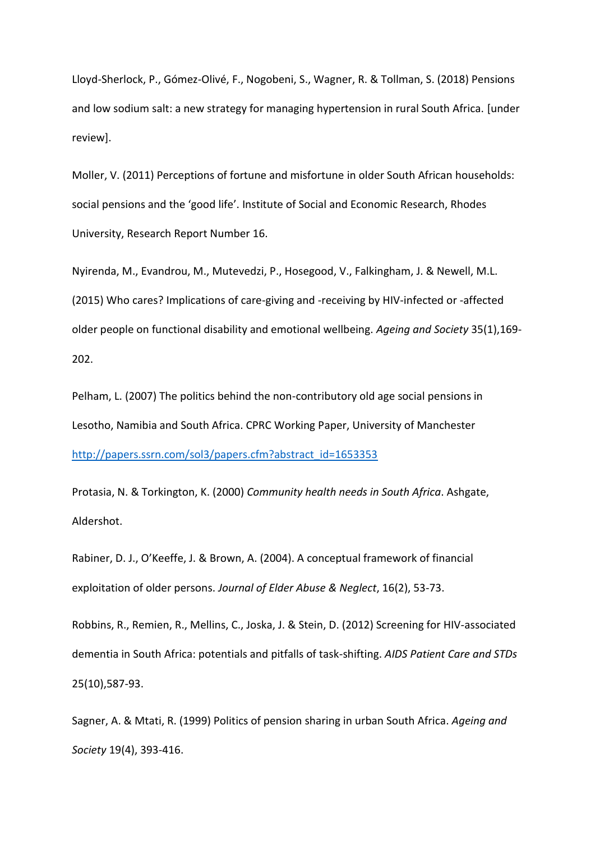Lloyd-Sherlock, P., Gómez-Olivé, F., Nogobeni, S., Wagner, R. & Tollman, S. (2018) Pensions and low sodium salt: a new strategy for managing hypertension in rural South Africa. [under review].

Moller, V. (2011) Perceptions of fortune and misfortune in older South African households: social pensions and the 'good life'. Institute of Social and Economic Research, Rhodes University, Research Report Number 16.

Nyirenda, M., Evandrou, M., Mutevedzi, P., Hosegood, V., Falkingham, J. & Newell, M.L. (2015) Who cares? Implications of care-giving and -receiving by HIV-infected or -affected older people on functional disability and emotional wellbeing. *Ageing and Society* 35(1),169- 202.

Pelham, L. (2007) The politics behind the non-contributory old age social pensions in Lesotho, Namibia and South Africa. CPRC Working Paper, University of Manchester [http://papers.ssrn.com/sol3/papers.cfm?abstract\\_id=1653353](http://papers.ssrn.com/sol3/papers.cfm?abstract_id=1653353)

Protasia, N. & Torkington, K. (2000) *Community health needs in South Africa*. Ashgate, Aldershot.

Rabiner, D. J., O'Keeffe, J. & Brown, A. (2004). A conceptual framework of financial exploitation of older persons. *Journal of Elder Abuse & Neglect*, 16(2), 53-73.

Robbins, R., Remien, R., Mellins, C., Joska, J. & Stein, D. (2012) Screening for HIV-associated dementia in South Africa: potentials and pitfalls of task-shifting. *AIDS Patient Care and STDs* 25(10),587-93.

Sagner, A. & Mtati, R. (1999) Politics of pension sharing in urban South Africa. *Ageing and Society* 19(4), 393-416.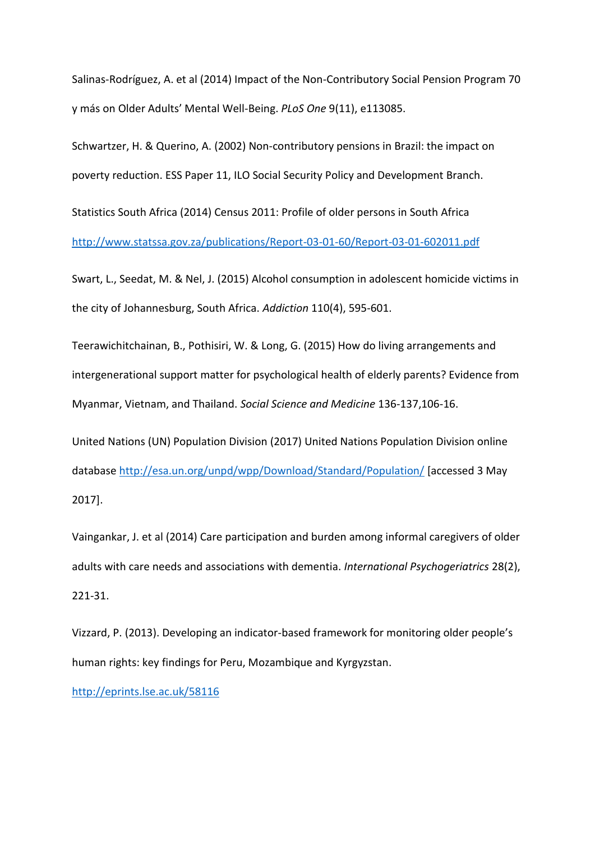Salinas-Rodríguez, A. et al (2014) Impact of the Non-Contributory Social Pension Program 70 y más on Older Adults' Mental Well-Being. *PLoS One* 9(11), e113085.

Schwartzer, H. & Querino, A. (2002) Non-contributory pensions in Brazil: the impact on poverty reduction. ESS Paper 11, ILO Social Security Policy and Development Branch.

Statistics South Africa (2014) Census 2011: Profile of older persons in South Africa <http://www.statssa.gov.za/publications/Report-03-01-60/Report-03-01-602011.pdf>

Swart, L., Seedat, M. & Nel, J. (2015) Alcohol consumption in adolescent homicide victims in the city of Johannesburg, South Africa. *Addiction* 110(4), 595-601.

Teerawichitchainan, B., Pothisiri, W. & Long, G. (2015) How do living arrangements and intergenerational support matter for psychological health of elderly parents? Evidence from Myanmar, Vietnam, and Thailand. *Social Science and Medicine* 136-137,106-16.

United Nations (UN) Population Division (2017) United Nations Population Division online database<http://esa.un.org/unpd/wpp/Download/Standard/Population/> [accessed 3 May 2017].

Vaingankar, J. et al (2014) Care participation and burden among informal caregivers of older adults with care needs and associations with dementia. *International Psychogeriatrics* 28(2), 221-31.

Vizzard, P. (2013). Developing an indicator-based framework for monitoring older people's human rights: key findings for Peru, Mozambique and Kyrgyzstan.

<http://eprints.lse.ac.uk/58116>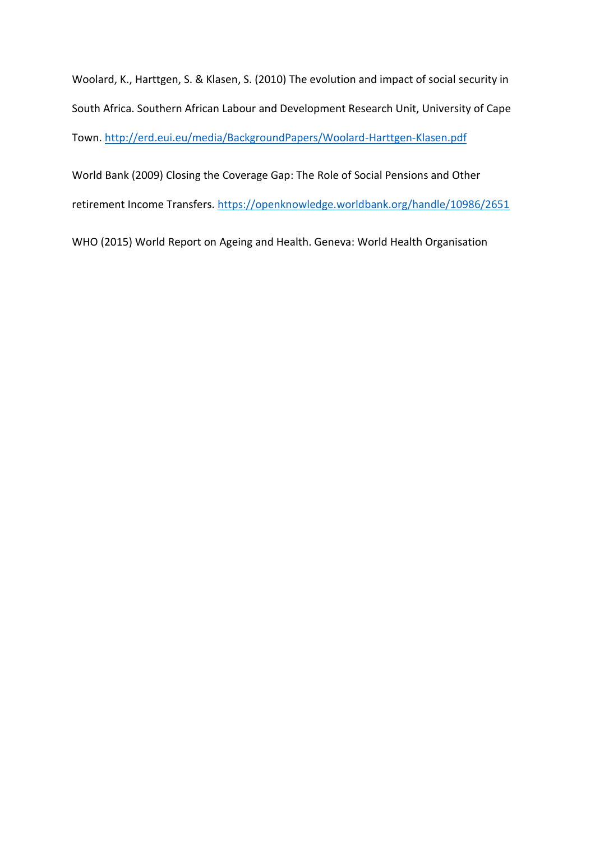Woolard, K., Harttgen, S. & Klasen, S. (2010) The evolution and impact of social security in South Africa. Southern African Labour and Development Research Unit, University of Cape Town.<http://erd.eui.eu/media/BackgroundPapers/Woolard-Harttgen-Klasen.pdf>

World Bank (2009) Closing the Coverage Gap: The Role of Social Pensions and Other retirement Income Transfers. [https://openknowledge.worldbank.org/handle/10986/2651](https://openknowledge.worldbank.org/handle/10986/2651%5d)

WHO (2015) World Report on Ageing and Health. Geneva: World Health Organisation